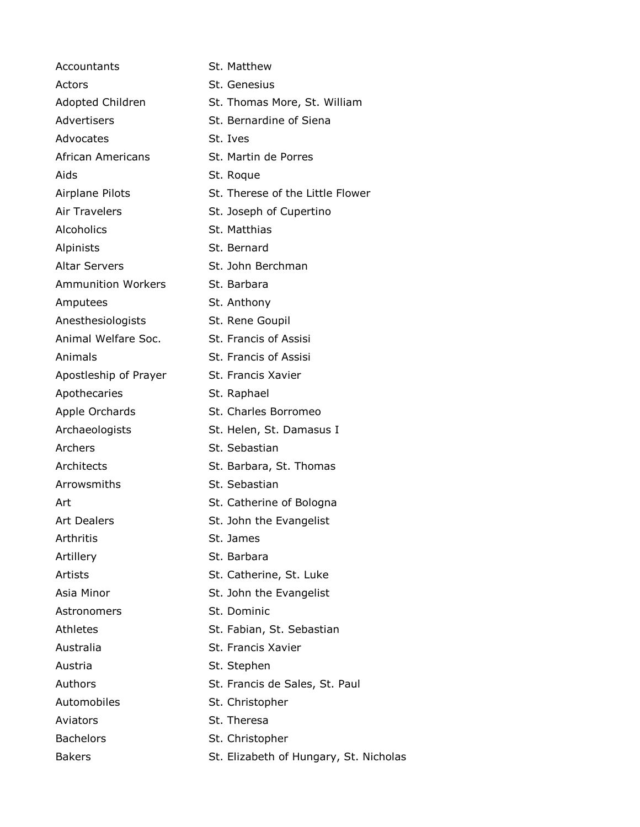| Accountants               | St. Matthew                            |
|---------------------------|----------------------------------------|
| Actors                    | St. Genesius                           |
| Adopted Children          | St. Thomas More, St. William           |
| Advertisers               | St. Bernardine of Siena                |
| Advocates                 | St. Ives                               |
| African Americans         | St. Martin de Porres                   |
| Aids                      | St. Roque                              |
| Airplane Pilots           | St. Therese of the Little Flower       |
| <b>Air Travelers</b>      | St. Joseph of Cupertino                |
| Alcoholics                | St. Matthias                           |
| Alpinists                 | St. Bernard                            |
| <b>Altar Servers</b>      | St. John Berchman                      |
| <b>Ammunition Workers</b> | St. Barbara                            |
| Amputees                  | St. Anthony                            |
| Anesthesiologists         | St. Rene Goupil                        |
| Animal Welfare Soc.       | St. Francis of Assisi                  |
| Animals                   | St. Francis of Assisi                  |
| Apostleship of Prayer     | St. Francis Xavier                     |
| Apothecaries              | St. Raphael                            |
| Apple Orchards            | St. Charles Borromeo                   |
| Archaeologists            | St. Helen, St. Damasus I               |
| Archers                   | St. Sebastian                          |
| Architects                | St. Barbara, St. Thomas                |
| Arrowsmiths               | St. Sebastian                          |
| Art                       | St. Catherine of Bologna               |
| <b>Art Dealers</b>        | St. John the Evangelist                |
| <b>Arthritis</b>          | St. James                              |
| Artillery                 | St. Barbara                            |
| <b>Artists</b>            | St. Catherine, St. Luke                |
| Asia Minor                | St. John the Evangelist                |
| Astronomers               | St. Dominic                            |
| Athletes                  | St. Fabian, St. Sebastian              |
| Australia                 | St. Francis Xavier                     |
| Austria                   | St. Stephen                            |
| Authors                   | St. Francis de Sales, St. Paul         |
| Automobiles               | St. Christopher                        |
| Aviators                  | St. Theresa                            |
| <b>Bachelors</b>          | St. Christopher                        |
| <b>Bakers</b>             | St. Elizabeth of Hungary, St. Nicholas |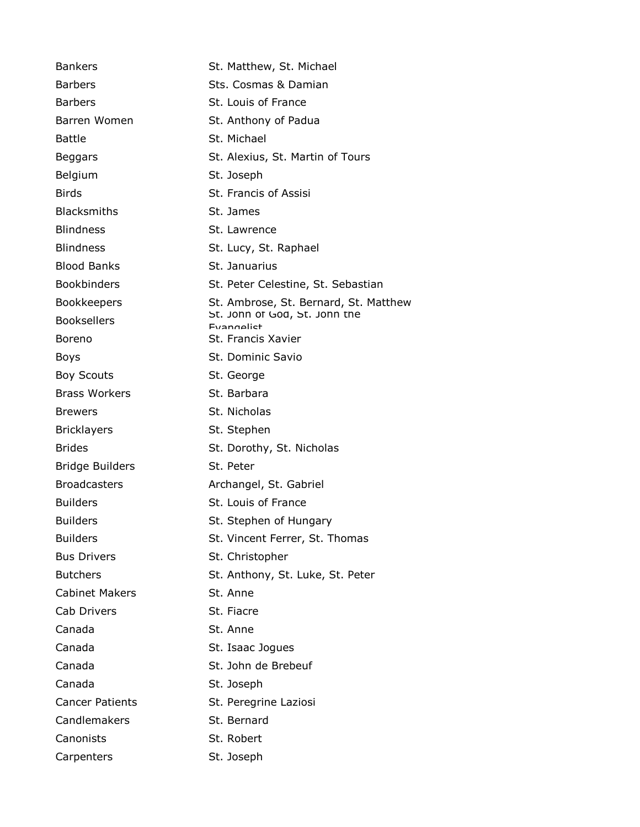| <b>Bankers</b>         | St. Matthew, St. Michael                           |
|------------------------|----------------------------------------------------|
| <b>Barbers</b>         | Sts. Cosmas & Damian                               |
| <b>Barbers</b>         | St. Louis of France                                |
| Barren Women           | St. Anthony of Padua                               |
| <b>Battle</b>          | St. Michael                                        |
| Beggars                | St. Alexius, St. Martin of Tours                   |
| Belgium                | St. Joseph                                         |
| <b>Birds</b>           | St. Francis of Assisi                              |
| <b>Blacksmiths</b>     | St. James                                          |
| <b>Blindness</b>       | St. Lawrence                                       |
| <b>Blindness</b>       | St. Lucy, St. Raphael                              |
| <b>Blood Banks</b>     | St. Januarius                                      |
| <b>Bookbinders</b>     | St. Peter Celestine, St. Sebastian                 |
| <b>Bookkeepers</b>     | St. Ambrose, St. Bernard, St. Matthew              |
| <b>Booksellers</b>     | St. John of God, St. John the<br><b>Fyangelist</b> |
| Boreno                 | St. Francis Xavier                                 |
| Boys                   | <b>St. Dominic Savio</b>                           |
| <b>Boy Scouts</b>      | St. George                                         |
| <b>Brass Workers</b>   | St. Barbara                                        |
| <b>Brewers</b>         | St. Nicholas                                       |
| <b>Bricklayers</b>     | St. Stephen                                        |
| <b>Brides</b>          | St. Dorothy, St. Nicholas                          |
| <b>Bridge Builders</b> | St. Peter                                          |
| <b>Broadcasters</b>    | Archangel, St. Gabriel                             |
| <b>Builders</b>        | St. Louis of France                                |
| <b>Builders</b>        | St. Stephen of Hungary                             |
| <b>Builders</b>        | St. Vincent Ferrer, St. Thomas                     |
| <b>Bus Drivers</b>     | St. Christopher                                    |
| <b>Butchers</b>        | St. Anthony, St. Luke, St. Peter                   |
| <b>Cabinet Makers</b>  | St. Anne                                           |
| Cab Drivers            | St. Fiacre                                         |
| Canada                 | St. Anne                                           |
| Canada                 | St. Isaac Jogues                                   |
| Canada                 | St. John de Brebeuf                                |
| Canada                 | St. Joseph                                         |
| <b>Cancer Patients</b> | St. Peregrine Laziosi                              |
| Candlemakers           | St. Bernard                                        |
| Canonists              | St. Robert                                         |
| Carpenters             | St. Joseph                                         |
|                        |                                                    |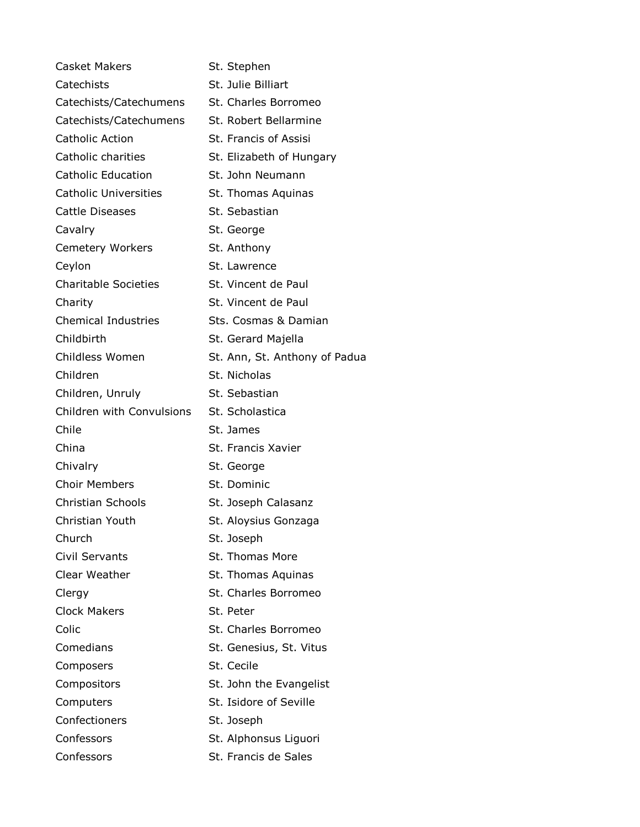| <b>Casket Makers</b>         | St. Stephen                   |
|------------------------------|-------------------------------|
| Catechists                   | St. Julie Billiart            |
| Catechists/Catechumens       | St. Charles Borromeo          |
| Catechists/Catechumens       | St. Robert Bellarmine         |
| <b>Catholic Action</b>       | St. Francis of Assisi         |
| Catholic charities           | St. Elizabeth of Hungary      |
| <b>Catholic Education</b>    | St. John Neumann              |
| <b>Catholic Universities</b> | St. Thomas Aquinas            |
| <b>Cattle Diseases</b>       | St. Sebastian                 |
| Cavalry                      | St. George                    |
| <b>Cemetery Workers</b>      | St. Anthony                   |
| Ceylon                       | St. Lawrence                  |
| <b>Charitable Societies</b>  | St. Vincent de Paul           |
| Charity                      | St. Vincent de Paul           |
| <b>Chemical Industries</b>   | Sts. Cosmas & Damian          |
| Childbirth                   | St. Gerard Majella            |
| Childless Women              | St. Ann, St. Anthony of Padua |
| Children                     | St. Nicholas                  |
| Children, Unruly             | St. Sebastian                 |
| Children with Convulsions    | St. Scholastica               |
| Chile                        | St. James                     |
| China                        | St. Francis Xavier            |
| Chivalry                     | St. George                    |
| <b>Choir Members</b>         | St. Dominic                   |
| <b>Christian Schools</b>     | St. Joseph Calasanz           |
| Christian Youth              | St. Aloysius Gonzaga          |
| Church                       | St. Joseph                    |
| <b>Civil Servants</b>        | <b>St. Thomas More</b>        |
| Clear Weather                | St. Thomas Aquinas            |
| Clergy                       | St. Charles Borromeo          |
| <b>Clock Makers</b>          | St. Peter                     |
| Colic                        | St. Charles Borromeo          |
| Comedians                    | St. Genesius, St. Vitus       |
| Composers                    | St. Cecile                    |
| Compositors                  | St. John the Evangelist       |
| Computers                    | St. Isidore of Seville        |
| Confectioners                | St. Joseph                    |
| Confessors                   | St. Alphonsus Liguori         |
| Confessors                   | St. Francis de Sales          |
|                              |                               |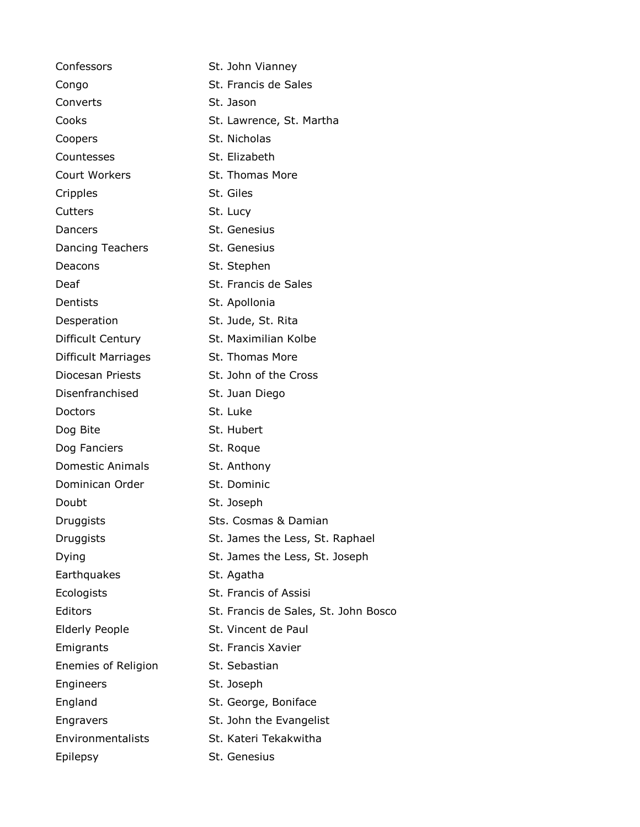| Confessors                 | St. John Vianney                     |
|----------------------------|--------------------------------------|
| Congo                      | St. Francis de Sales                 |
| Converts                   | St. Jason                            |
| Cooks                      | St. Lawrence, St. Martha             |
| Coopers                    | St. Nicholas                         |
| Countesses                 | St. Elizabeth                        |
| Court Workers              | St. Thomas More                      |
| Cripples                   | St. Giles                            |
| Cutters                    | St. Lucy                             |
| Dancers                    | St. Genesius                         |
| <b>Dancing Teachers</b>    | St. Genesius                         |
| Deacons                    | St. Stephen                          |
| Deaf                       | St. Francis de Sales                 |
| Dentists                   | St. Apollonia                        |
| Desperation                | St. Jude, St. Rita                   |
| Difficult Century          | St. Maximilian Kolbe                 |
| <b>Difficult Marriages</b> | St. Thomas More                      |
| Diocesan Priests           | St. John of the Cross                |
| Disenfranchised            | St. Juan Diego                       |
| Doctors                    | St. Luke                             |
| Dog Bite                   | St. Hubert                           |
| Dog Fanciers               | St. Roque                            |
| <b>Domestic Animals</b>    | St. Anthony                          |
| Dominican Order            | St. Dominic                          |
| Doubt                      | St. Joseph                           |
| Druggists                  | Sts. Cosmas & Damian                 |
| Druggists                  | St. James the Less, St. Raphael      |
| Dying                      | St. James the Less, St. Joseph       |
| Earthquakes                | St. Agatha                           |
| Ecologists                 | St. Francis of Assisi                |
| Editors                    | St. Francis de Sales, St. John Bosco |
| <b>Elderly People</b>      | St. Vincent de Paul                  |
| Emigrants                  | St. Francis Xavier                   |
| Enemies of Religion        | St. Sebastian                        |
| Engineers                  | St. Joseph                           |
| England                    | St. George, Boniface                 |
| Engravers                  | St. John the Evangelist              |
| Environmentalists          | St. Kateri Tekakwitha                |
| Epilepsy                   | St. Genesius                         |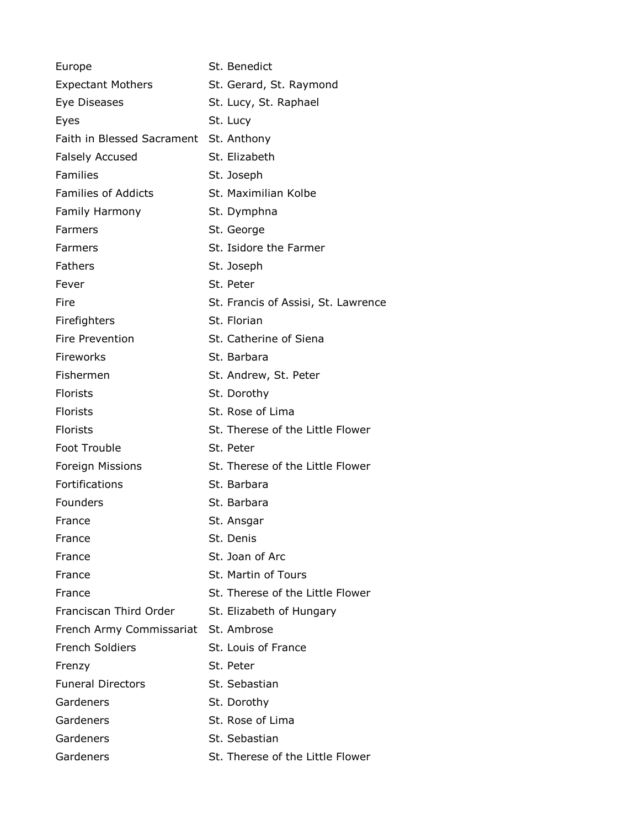| Europe                                 | St. Benedict                        |
|----------------------------------------|-------------------------------------|
| <b>Expectant Mothers</b>               | St. Gerard, St. Raymond             |
| Eye Diseases                           | St. Lucy, St. Raphael               |
| Eyes                                   | St. Lucy                            |
| Faith in Blessed Sacrament St. Anthony |                                     |
| <b>Falsely Accused</b>                 | St. Elizabeth                       |
| <b>Families</b>                        | St. Joseph                          |
| <b>Families of Addicts</b>             | St. Maximilian Kolbe                |
| Family Harmony                         | St. Dymphna                         |
| Farmers                                | St. George                          |
| Farmers                                | St. Isidore the Farmer              |
| Fathers                                | St. Joseph                          |
| Fever                                  | St. Peter                           |
| Fire                                   | St. Francis of Assisi, St. Lawrence |
| Firefighters                           | St. Florian                         |
| Fire Prevention                        | St. Catherine of Siena              |
| Fireworks                              | St. Barbara                         |
| Fishermen                              | St. Andrew, St. Peter               |
| <b>Florists</b>                        | St. Dorothy                         |
| Florists                               | St. Rose of Lima                    |
| <b>Florists</b>                        | St. Therese of the Little Flower    |
| Foot Trouble                           | St. Peter                           |
| Foreign Missions                       | St. Therese of the Little Flower    |
| Fortifications                         | St. Barbara                         |
| Founders                               | St. Barbara                         |
| France                                 | St. Ansgar                          |
| France                                 | St. Denis                           |
| France                                 | St. Joan of Arc                     |
| France                                 | St. Martin of Tours                 |
| France                                 | St. Therese of the Little Flower    |
| Franciscan Third Order                 | St. Elizabeth of Hungary            |
| French Army Commissariat               | St. Ambrose                         |
| <b>French Soldiers</b>                 | St. Louis of France                 |
| Frenzy                                 | St. Peter                           |
| <b>Funeral Directors</b>               | St. Sebastian                       |
| Gardeners                              | St. Dorothy                         |
| Gardeners                              | St. Rose of Lima                    |
| Gardeners                              | St. Sebastian                       |
| Gardeners                              | St. Therese of the Little Flower    |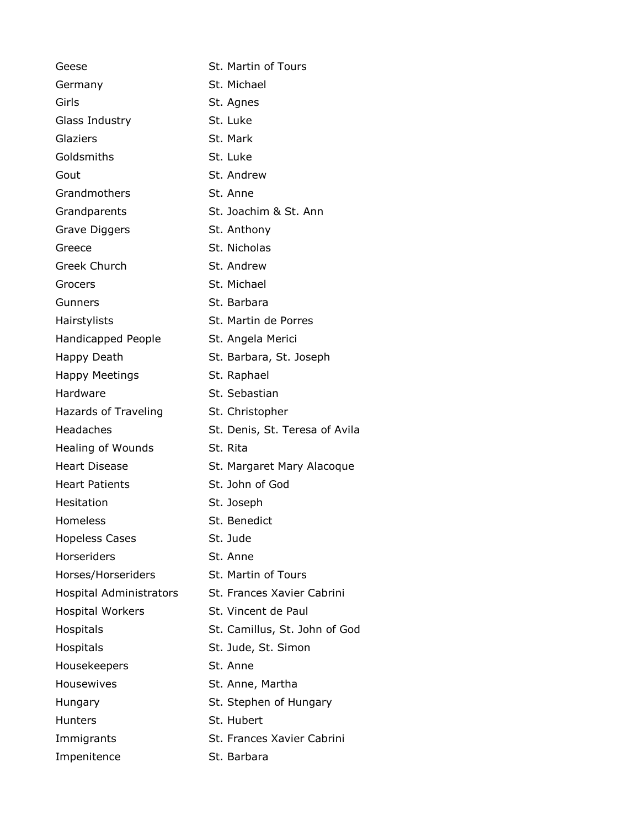| Geese                          | St. Martin of Tours            |
|--------------------------------|--------------------------------|
| Germany                        | St. Michael                    |
| Girls                          | St. Agnes                      |
| Glass Industry                 | St. Luke                       |
| Glaziers                       | St. Mark                       |
| Goldsmiths                     | St. Luke                       |
| Gout                           | St. Andrew                     |
| Grandmothers                   | St. Anne                       |
| Grandparents                   | St. Joachim & St. Ann          |
| Grave Diggers                  | St. Anthony                    |
| Greece                         | St. Nicholas                   |
| <b>Greek Church</b>            | St. Andrew                     |
| Grocers                        | St. Michael                    |
| Gunners                        | St. Barbara                    |
| Hairstylists                   | St. Martin de Porres           |
| Handicapped People             | St. Angela Merici              |
| Happy Death                    | St. Barbara, St. Joseph        |
| <b>Happy Meetings</b>          | St. Raphael                    |
| Hardware                       | St. Sebastian                  |
| Hazards of Traveling           | St. Christopher                |
| Headaches                      | St. Denis, St. Teresa of Avila |
| Healing of Wounds              | St. Rita                       |
| <b>Heart Disease</b>           | St. Margaret Mary Alacoque     |
| <b>Heart Patients</b>          | St. John of God                |
| Hesitation                     | St. Joseph                     |
| <b>Homeless</b>                | St. Benedict                   |
| <b>Hopeless Cases</b>          | St. Jude                       |
| <b>Horseriders</b>             | St. Anne                       |
| Horses/Horseriders             | St. Martin of Tours            |
| <b>Hospital Administrators</b> | St. Frances Xavier Cabrini     |
| <b>Hospital Workers</b>        | St. Vincent de Paul            |
| <b>Hospitals</b>               | St. Camillus, St. John of God  |
| Hospitals                      | St. Jude, St. Simon            |
| Housekeepers                   | St. Anne                       |
| Housewives                     | St. Anne, Martha               |
| Hungary                        | St. Stephen of Hungary         |
| <b>Hunters</b>                 | St. Hubert                     |
| Immigrants                     | St. Frances Xavier Cabrini     |
| Impenitence                    | St. Barbara                    |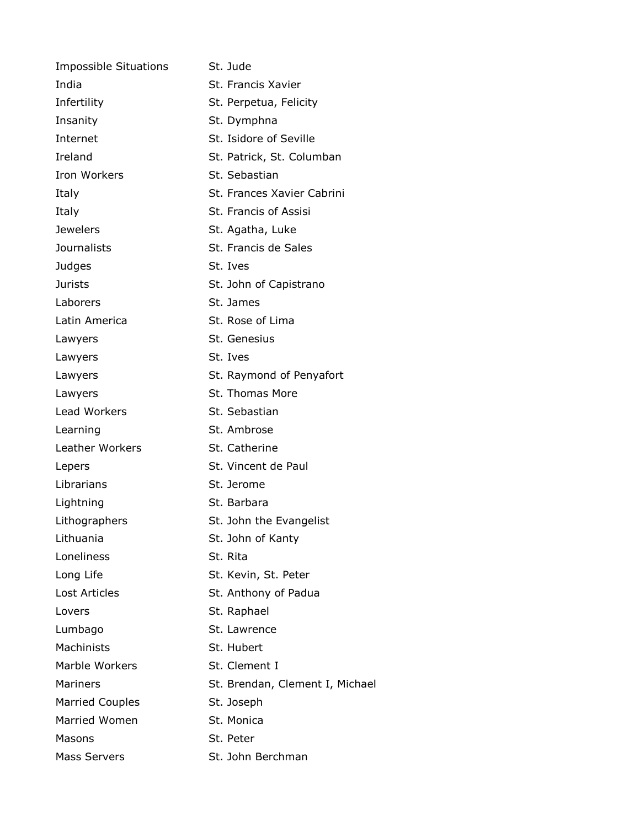| <b>Impossible Situations</b> | St. Jude                        |
|------------------------------|---------------------------------|
| India                        | St. Francis Xavier              |
| Infertility                  | St. Perpetua, Felicity          |
| Insanity                     | St. Dymphna                     |
| Internet                     | St. Isidore of Seville          |
| Ireland                      | St. Patrick, St. Columban       |
| <b>Iron Workers</b>          | St. Sebastian                   |
| Italy                        | St. Frances Xavier Cabrini      |
| Italy                        | St. Francis of Assisi           |
| <b>Jewelers</b>              | St. Agatha, Luke                |
| <b>Journalists</b>           | St. Francis de Sales            |
| Judges                       | St. Ives                        |
| <b>Jurists</b>               | St. John of Capistrano          |
| Laborers                     | St. James                       |
| Latin America                | St. Rose of Lima                |
| Lawyers                      | St. Genesius                    |
| Lawyers                      | St. Ives                        |
| Lawyers                      | St. Raymond of Penyafort        |
| Lawyers                      | St. Thomas More                 |
| Lead Workers                 | St. Sebastian                   |
| Learning                     | St. Ambrose                     |
| Leather Workers              | St. Catherine                   |
| Lepers                       | St. Vincent de Paul             |
| Librarians                   | St. Jerome                      |
| Lightning                    | St. Barbara                     |
| Lithographers                | St. John the Evangelist         |
| Lithuania                    | St. John of Kanty               |
| Loneliness                   | St. Rita                        |
| Long Life                    | St. Kevin, St. Peter            |
| <b>Lost Articles</b>         | St. Anthony of Padua            |
| Lovers                       | St. Raphael                     |
| Lumbago                      | St. Lawrence                    |
| Machinists                   | St. Hubert                      |
| Marble Workers               | St. Clement I                   |
| <b>Mariners</b>              | St. Brendan, Clement I, Michael |
| <b>Married Couples</b>       | St. Joseph                      |
| Married Women                | St. Monica                      |
| Masons                       | St. Peter                       |
| <b>Mass Servers</b>          | St. John Berchman               |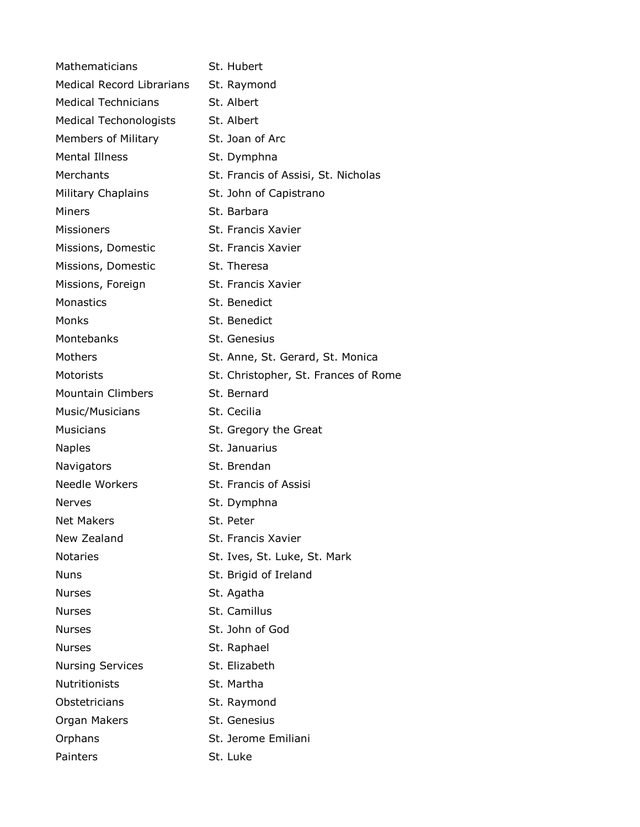| <b>Mathematicians</b>            | St. Hubert                           |
|----------------------------------|--------------------------------------|
| <b>Medical Record Librarians</b> | St. Raymond                          |
| <b>Medical Technicians</b>       | St. Albert                           |
| <b>Medical Techonologists</b>    | St. Albert                           |
| <b>Members of Military</b>       | St. Joan of Arc                      |
| <b>Mental Illness</b>            | St. Dymphna                          |
| Merchants                        | St. Francis of Assisi, St. Nicholas  |
| Military Chaplains               | St. John of Capistrano               |
| Miners                           | St. Barbara                          |
| <b>Missioners</b>                | St. Francis Xavier                   |
| Missions, Domestic               | St. Francis Xavier                   |
| Missions, Domestic               | St. Theresa                          |
| Missions, Foreign                | St. Francis Xavier                   |
| <b>Monastics</b>                 | St. Benedict                         |
| Monks                            | St. Benedict                         |
| Montebanks                       | St. Genesius                         |
| Mothers                          | St. Anne, St. Gerard, St. Monica     |
| Motorists                        | St. Christopher, St. Frances of Rome |
| <b>Mountain Climbers</b>         | St. Bernard                          |
| Music/Musicians                  | St. Cecilia                          |
| <b>Musicians</b>                 | St. Gregory the Great                |
| <b>Naples</b>                    | St. Januarius                        |
| Navigators                       | St. Brendan                          |
| Needle Workers                   | St. Francis of Assisi                |
| <b>Nerves</b>                    | St. Dymphna                          |
| <b>Net Makers</b>                | St. Peter                            |
| New Zealand                      | St. Francis Xavier                   |
| <b>Notaries</b>                  | St. Ives, St. Luke, St. Mark         |
| <b>Nuns</b>                      | St. Brigid of Ireland                |
| <b>Nurses</b>                    | St. Agatha                           |
| <b>Nurses</b>                    | St. Camillus                         |
| <b>Nurses</b>                    | St. John of God                      |
| <b>Nurses</b>                    | St. Raphael                          |
| <b>Nursing Services</b>          | St. Elizabeth                        |
| <b>Nutritionists</b>             | St. Martha                           |
| Obstetricians                    | St. Raymond                          |
| Organ Makers                     | St. Genesius                         |
| Orphans                          | St. Jerome Emiliani                  |
| Painters                         | St. Luke                             |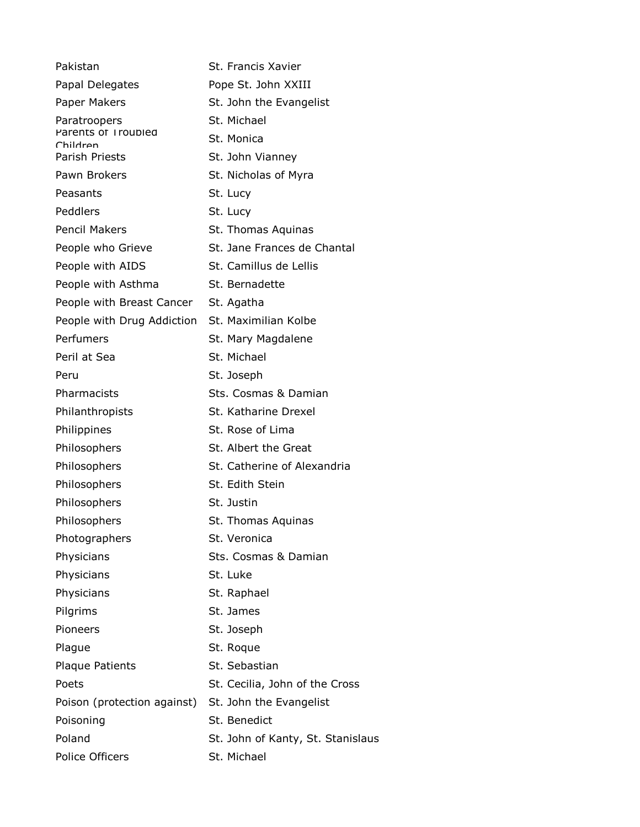| Pakistan                        | St. Francis Xavier                |
|---------------------------------|-----------------------------------|
| Papal Delegates                 | Pope St. John XXIII               |
| Paper Makers                    | St. John the Evangelist           |
| Paratroopers                    | St. Michael                       |
| Parents of Troubled<br>Children | St. Monica                        |
| <b>Parish Priests</b>           | St. John Vianney                  |
| Pawn Brokers                    | St. Nicholas of Myra              |
| Peasants                        | St. Lucy                          |
| Peddlers                        | St. Lucy                          |
| <b>Pencil Makers</b>            | St. Thomas Aquinas                |
| People who Grieve               | St. Jane Frances de Chantal       |
| People with AIDS                | St. Camillus de Lellis            |
| People with Asthma              | St. Bernadette                    |
| People with Breast Cancer       | St. Agatha                        |
| People with Drug Addiction      | St. Maximilian Kolbe              |
| Perfumers                       | St. Mary Magdalene                |
| Peril at Sea                    | St. Michael                       |
| Peru                            | St. Joseph                        |
| Pharmacists                     | Sts. Cosmas & Damian              |
| Philanthropists                 | St. Katharine Drexel              |
| Philippines                     | St. Rose of Lima                  |
| Philosophers                    | St. Albert the Great              |
| Philosophers                    | St. Catherine of Alexandria       |
| Philosophers                    | St. Edith Stein                   |
| Philosophers                    | St. Justin                        |
| Philosophers                    | St. Thomas Aquinas                |
| Photographers                   | St. Veronica                      |
| Physicians                      | Sts. Cosmas & Damian              |
| Physicians                      | St. Luke                          |
| Physicians                      | St. Raphael                       |
| Pilgrims                        | St. James                         |
| Pioneers                        | St. Joseph                        |
| Plague                          | St. Roque                         |
| <b>Plaque Patients</b>          | St. Sebastian                     |
| Poets                           | St. Cecilia, John of the Cross    |
| Poison (protection against)     | St. John the Evangelist           |
| Poisoning                       | St. Benedict                      |
| Poland                          | St. John of Kanty, St. Stanislaus |
| Police Officers                 | St. Michael                       |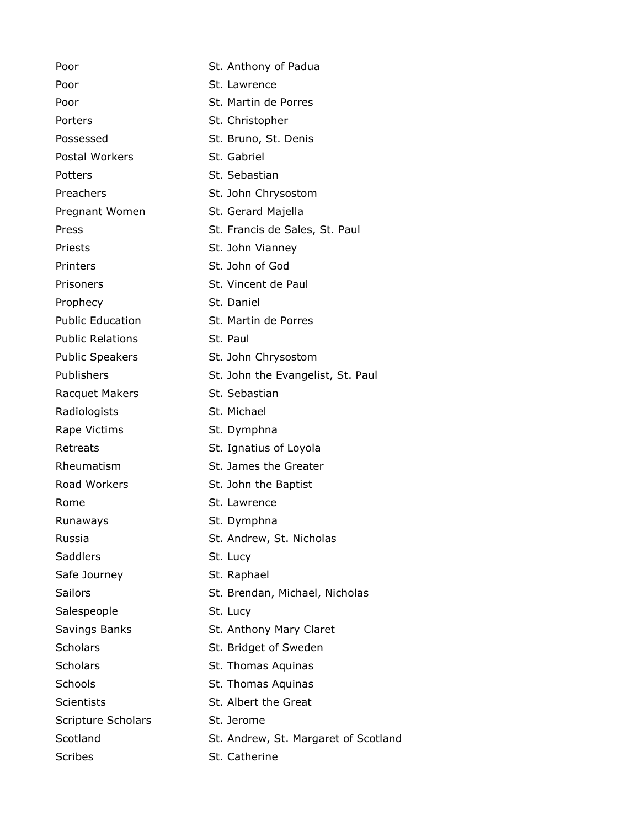Poor St. Anthony of Padua Poor St. Lawrence Poor St. Martin de Porres Porters St. Christopher Possessed St. Bruno, St. Denis Postal Workers St. Gabriel Potters St. Sebastian Preachers St. John Chrysostom Pregnant Women St. Gerard Majella Press St. Francis de Sales, St. Paul Priests **St. John Vianney** Printers St. John of God Prisoners St. Vincent de Paul Prophecy St. Daniel Public Education St. Martin de Porres Public Relations St. Paul Public Speakers St. John Chrysostom Publishers St. John the Evangelist, St. Paul Racquet Makers St. Sebastian Radiologists St. Michael Rape Victims St. Dymphna Retreats St. Ignatius of Loyola Rheumatism St. James the Greater Road Workers St. John the Baptist Rome St. Lawrence Runaways St. Dymphna Russia **St. Andrew, St. Nicholas** Saddlers St. Lucy Safe Journey St. Raphael Sailors **Subseter St. Brendan, Michael, Nicholas** Salespeople St. Lucy Savings Banks St. Anthony Mary Claret Scholars Scholars St. Bridget of Sweden Scholars St. Thomas Aquinas Schools **St. Thomas Aquinas** Scientists St. Albert the Great Scripture Scholars St. Jerome Scotland Scotland St. Andrew, St. Margaret of Scotland Scribes St. Catherine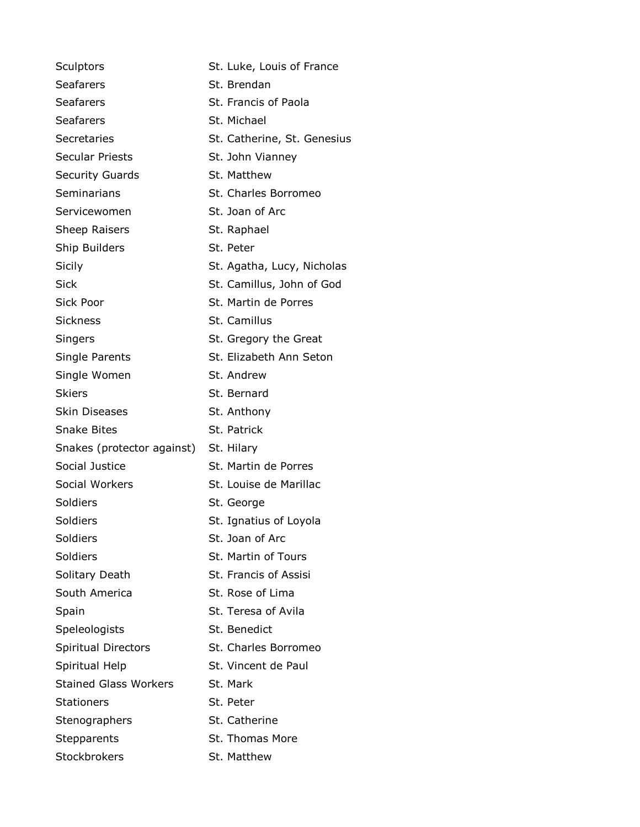| Sculptors                             | St. Luke, Louis of France   |
|---------------------------------------|-----------------------------|
| <b>Seafarers</b>                      | St. Brendan                 |
| <b>Seafarers</b>                      | St. Francis of Paola        |
| Seafarers                             | St. Michael                 |
| Secretaries                           | St. Catherine, St. Genesius |
| <b>Secular Priests</b>                | St. John Vianney            |
| <b>Security Guards</b>                | St. Matthew                 |
| Seminarians                           | St. Charles Borromeo        |
| Servicewomen                          | St. Joan of Arc             |
| <b>Sheep Raisers</b>                  | St. Raphael                 |
| Ship Builders                         | St. Peter                   |
| Sicily                                | St. Agatha, Lucy, Nicholas  |
| <b>Sick</b>                           | St. Camillus, John of God   |
| Sick Poor                             | St. Martin de Porres        |
| <b>Sickness</b>                       | St. Camillus                |
| Singers                               | St. Gregory the Great       |
| Single Parents                        | St. Elizabeth Ann Seton     |
| Single Women                          | St. Andrew                  |
| <b>Skiers</b>                         | St. Bernard                 |
| <b>Skin Diseases</b>                  | St. Anthony                 |
| <b>Snake Bites</b>                    | St. Patrick                 |
| Snakes (protector against) St. Hilary |                             |
| Social Justice                        | St. Martin de Porres        |
| Social Workers                        | St. Louise de Marillac      |
| Soldiers                              | St. George                  |
| Soldiers                              | St. Ignatius of Loyola      |
| Soldiers                              | St. Joan of Arc             |
| Soldiers                              | <b>St. Martin of Tours</b>  |
| Solitary Death                        | St. Francis of Assisi       |
| South America                         | St. Rose of Lima            |
| Spain                                 | St. Teresa of Avila         |
| Speleologists                         | St. Benedict                |
| <b>Spiritual Directors</b>            | St. Charles Borromeo        |
| Spiritual Help                        | St. Vincent de Paul         |
| <b>Stained Glass Workers</b>          | St. Mark                    |
| <b>Stationers</b>                     | St. Peter                   |
| Stenographers                         | St. Catherine               |
| Stepparents                           | St. Thomas More             |
| Stockbrokers                          | St. Matthew                 |
|                                       |                             |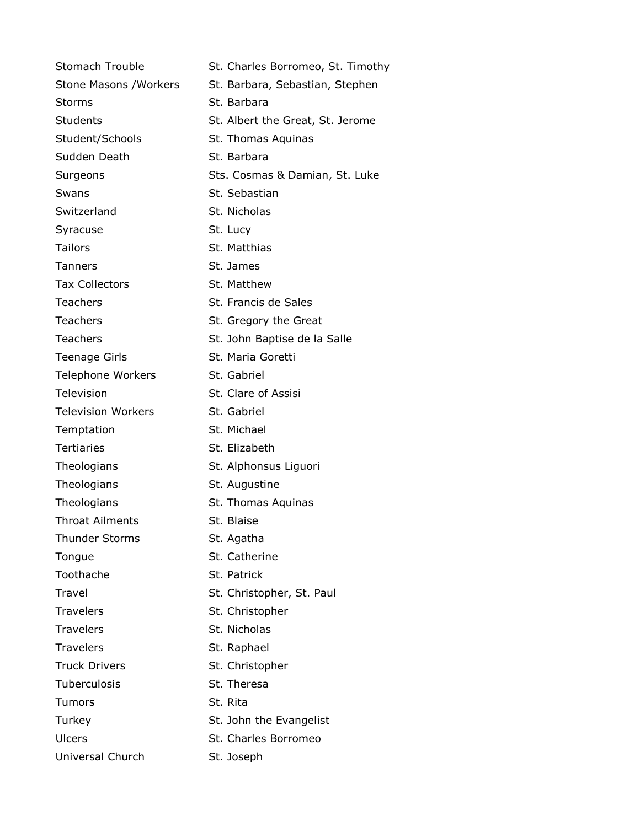| St. Charles Borromeo, St. Timothy |
|-----------------------------------|
| St. Barbara, Sebastian, Stephen   |
| St. Barbara                       |
| St. Albert the Great, St. Jerome  |
| St. Thomas Aquinas                |
| St. Barbara                       |
| Sts. Cosmas & Damian, St. Luke    |
| St. Sebastian                     |
| St. Nicholas                      |
| St. Lucy                          |
| St. Matthias                      |
| St. James                         |
| St. Matthew                       |
| St. Francis de Sales              |
| St. Gregory the Great             |
| St. John Baptise de la Salle      |
| St. Maria Goretti                 |
| St. Gabriel                       |
| St. Clare of Assisi               |
| St. Gabriel                       |
| St. Michael                       |
| St. Elizabeth                     |
| St. Alphonsus Liguori             |
| St. Augustine                     |
| St. Thomas Aquinas                |
| St. Blaise                        |
| St. Agatha                        |
| St. Catherine                     |
| St. Patrick                       |
| St. Christopher, St. Paul         |
| St. Christopher                   |
| St. Nicholas                      |
| St. Raphael                       |
| St. Christopher                   |
| St. Theresa                       |
| St. Rita                          |
| St. John the Evangelist           |
| St. Charles Borromeo              |
| St. Joseph                        |
|                                   |